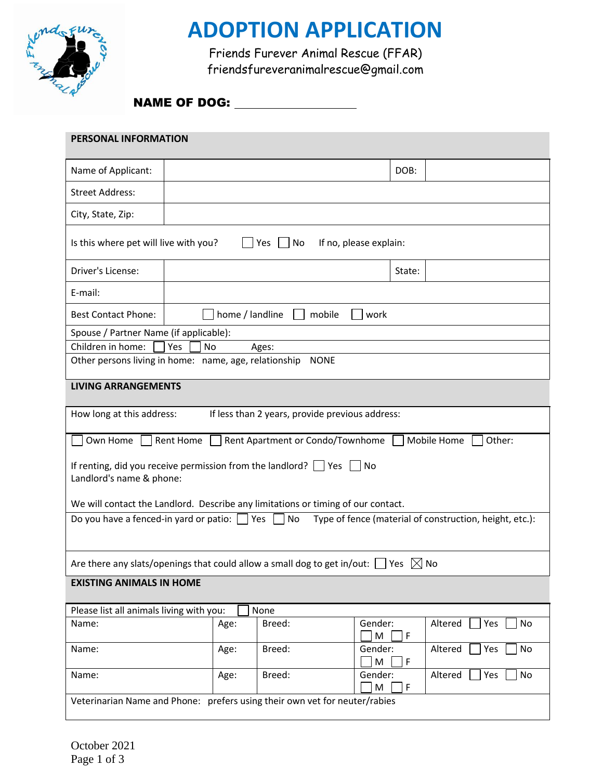

## **ADOPTION APPLICATION**

Friends Furever Animal Rescue (FFAR) friendsfureveranimalrescue@gmail.com

#### NAME OF DOG:

| PERSONAL INFORMATION                                                                                               |      |        |                             |                      |  |
|--------------------------------------------------------------------------------------------------------------------|------|--------|-----------------------------|----------------------|--|
| Name of Applicant:                                                                                                 |      |        | DOB:                        |                      |  |
| <b>Street Address:</b>                                                                                             |      |        |                             |                      |  |
| City, State, Zip:                                                                                                  |      |        |                             |                      |  |
| Is this where pet will live with you?<br>If no, please explain:<br>Yes<br>No                                       |      |        |                             |                      |  |
| Driver's License:                                                                                                  |      |        | State:                      |                      |  |
| E-mail:                                                                                                            |      |        |                             |                      |  |
| home / landline<br><b>Best Contact Phone:</b><br>mobile<br>work                                                    |      |        |                             |                      |  |
| Spouse / Partner Name (if applicable):                                                                             |      |        |                             |                      |  |
| Children in home:<br>Yes<br>No<br>Ages:                                                                            |      |        |                             |                      |  |
| Other persons living in home: name, age, relationship<br><b>NONE</b>                                               |      |        |                             |                      |  |
| <b>LIVING ARRANGEMENTS</b>                                                                                         |      |        |                             |                      |  |
| How long at this address:<br>If less than 2 years, provide previous address:                                       |      |        |                             |                      |  |
| Mobile Home<br>Own Home<br>Rent Home<br>Rent Apartment or Condo/Townhome<br>Other:                                 |      |        |                             |                      |  |
| If renting, did you receive permission from the landlord? $\Box$ Yes $\Box$ No<br>Landlord's name & phone:         |      |        |                             |                      |  |
| We will contact the Landlord. Describe any limitations or timing of our contact.                                   |      |        |                             |                      |  |
| Do you have a fenced-in yard or patio: $\Box$ Yes<br>No<br>Type of fence (material of construction, height, etc.): |      |        |                             |                      |  |
| Are there any slats/openings that could allow a small dog to get in/out: $\Box$<br>Yes $\boxtimes$ No              |      |        |                             |                      |  |
| <b>EXISTING ANIMALS IN HOME</b>                                                                                    |      |        |                             |                      |  |
| Please list all animals living with you:                                                                           |      | None   |                             |                      |  |
| Name:                                                                                                              | Age: | Breed: | Gender:<br>M<br>F           | Altered<br>Yes<br>No |  |
| Name:                                                                                                              | Age: | Breed: | Gender:<br>M<br>F           | Yes<br>No<br>Altered |  |
| Name:                                                                                                              | Age: | Breed: | Gender:<br>M<br>$\mathsf F$ | Yes<br>No<br>Altered |  |
| Veterinarian Name and Phone: prefers using their own vet for neuter/rabies                                         |      |        |                             |                      |  |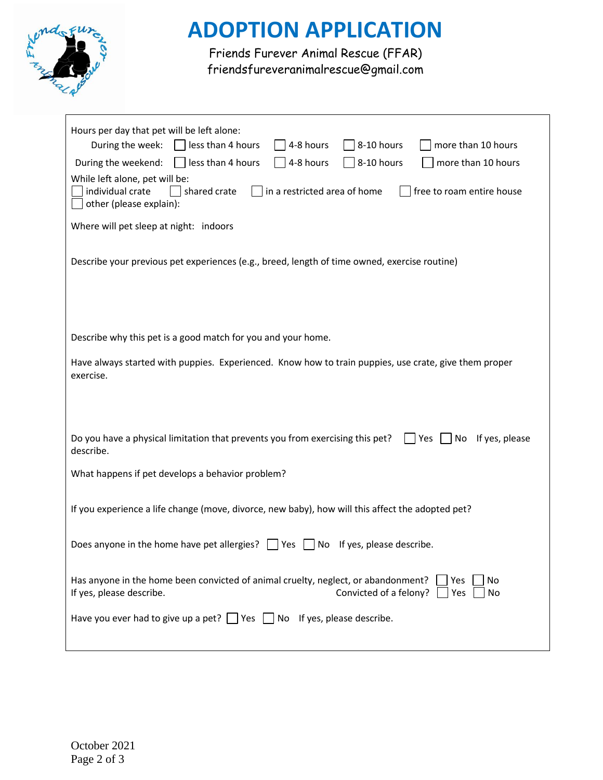

# **ADOPTION APPLICATION**

Friends Furever Animal Rescue (FFAR) friendsfureveranimalrescue@gmail.com

| Hours per day that pet will be left alone:<br>8-10 hours<br>During the week:<br>less than 4 hours<br>4-8 hours<br>more than 10 hours<br>8-10 hours<br>less than 4 hours<br>4-8 hours<br>more than 10 hours<br>During the weekend:<br>While left alone, pet will be:<br>individual crate<br>shared crate<br>in a restricted area of home<br>free to roam entire house<br>other (please explain):<br>Where will pet sleep at night: indoors |  |  |  |  |
|-------------------------------------------------------------------------------------------------------------------------------------------------------------------------------------------------------------------------------------------------------------------------------------------------------------------------------------------------------------------------------------------------------------------------------------------|--|--|--|--|
| Describe your previous pet experiences (e.g., breed, length of time owned, exercise routine)                                                                                                                                                                                                                                                                                                                                              |  |  |  |  |
| Describe why this pet is a good match for you and your home.                                                                                                                                                                                                                                                                                                                                                                              |  |  |  |  |
| Have always started with puppies. Experienced. Know how to train puppies, use crate, give them proper<br>exercise.                                                                                                                                                                                                                                                                                                                        |  |  |  |  |
| Do you have a physical limitation that prevents you from exercising this pet?<br>No If yes, please<br>Yes<br>describe.                                                                                                                                                                                                                                                                                                                    |  |  |  |  |
| What happens if pet develops a behavior problem?                                                                                                                                                                                                                                                                                                                                                                                          |  |  |  |  |
|                                                                                                                                                                                                                                                                                                                                                                                                                                           |  |  |  |  |
| If you experience a life change (move, divorce, new baby), how will this affect the adopted pet?                                                                                                                                                                                                                                                                                                                                          |  |  |  |  |
| Does anyone in the home have pet allergies? $\vert \vert$ Yes $\vert \vert$ No If yes, please describe.                                                                                                                                                                                                                                                                                                                                   |  |  |  |  |
| Has anyone in the home been convicted of animal cruelty, neglect, or abandonment?<br>No<br>Yes<br>If yes, please describe.<br>Convicted of a felony?<br>Yes<br>No                                                                                                                                                                                                                                                                         |  |  |  |  |
| Have you ever had to give up a pet? $\Box$ Yes $\Box$ No If yes, please describe.                                                                                                                                                                                                                                                                                                                                                         |  |  |  |  |
|                                                                                                                                                                                                                                                                                                                                                                                                                                           |  |  |  |  |